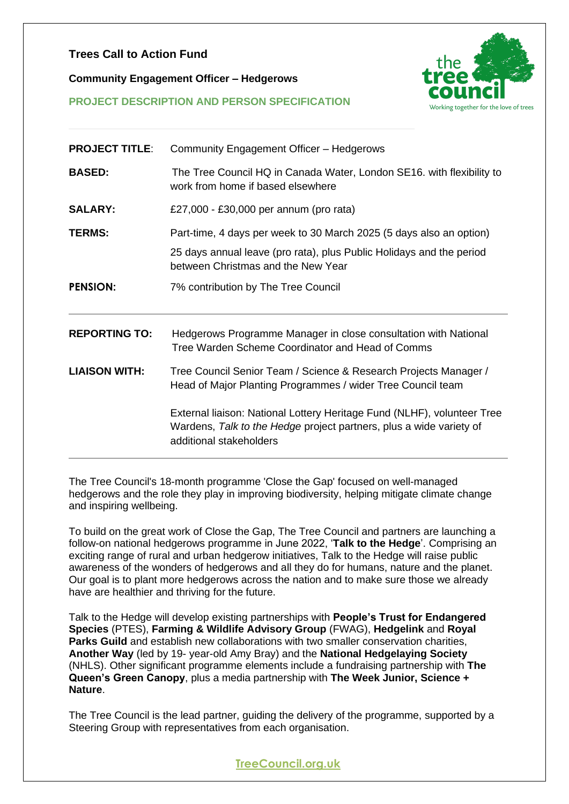## **Trees Call to Action Fund**

**Community Engagement Officer – Hedgerows** 



**PROJECT DESCRIPTION AND PERSON SPECIFICATION**

| <b>PROJECT TITLE:</b> | Community Engagement Officer - Hedgerows                                                                                                                                  |
|-----------------------|---------------------------------------------------------------------------------------------------------------------------------------------------------------------------|
| <b>BASED:</b>         | The Tree Council HQ in Canada Water, London SE16. with flexibility to<br>work from home if based elsewhere                                                                |
| <b>SALARY:</b>        | £27,000 - £30,000 per annum (pro rata)                                                                                                                                    |
| <b>TERMS:</b>         | Part-time, 4 days per week to 30 March 2025 (5 days also an option)                                                                                                       |
|                       | 25 days annual leave (pro rata), plus Public Holidays and the period<br>between Christmas and the New Year                                                                |
| <b>PENSION:</b>       | 7% contribution by The Tree Council                                                                                                                                       |
| <b>REPORTING TO:</b>  | Hedgerows Programme Manager in close consultation with National<br>Tree Warden Scheme Coordinator and Head of Comms                                                       |
| <b>LIAISON WITH:</b>  | Tree Council Senior Team / Science & Research Projects Manager /<br>Head of Major Planting Programmes / wider Tree Council team                                           |
|                       | External liaison: National Lottery Heritage Fund (NLHF), volunteer Tree<br>Wardens, Talk to the Hedge project partners, plus a wide variety of<br>additional stakeholders |

The Tree Council's 18-month programme 'Close the Gap' focused on well-managed hedgerows and the role they play in improving biodiversity, helping mitigate climate change and inspiring wellbeing.

To build on the great work of Close the Gap, The Tree Council and partners are launching a follow-on national hedgerows programme in June 2022, '**Talk to the Hedge**'. Comprising an exciting range of rural and urban hedgerow initiatives, Talk to the Hedge will raise public awareness of the wonders of hedgerows and all they do for humans, nature and the planet. Our goal is to plant more hedgerows across the nation and to make sure those we already have are healthier and thriving for the future.

Talk to the Hedge will develop existing partnerships with **People's Trust for Endangered Species** (PTES), **Farming & Wildlife Advisory Group** (FWAG), **Hedgelink** and **Royal Parks Guild** and establish new collaborations with two smaller conservation charities, **Another Way** (led by 19- year-old Amy Bray) and the **National Hedgelaying Society** (NHLS). Other significant programme elements include a fundraising partnership with **The Queen's Green Canopy**, plus a media partnership with **The Week Junior, Science + Nature**.

The Tree Council is the lead partner, guiding the delivery of the programme, supported by a Steering Group with representatives from each organisation.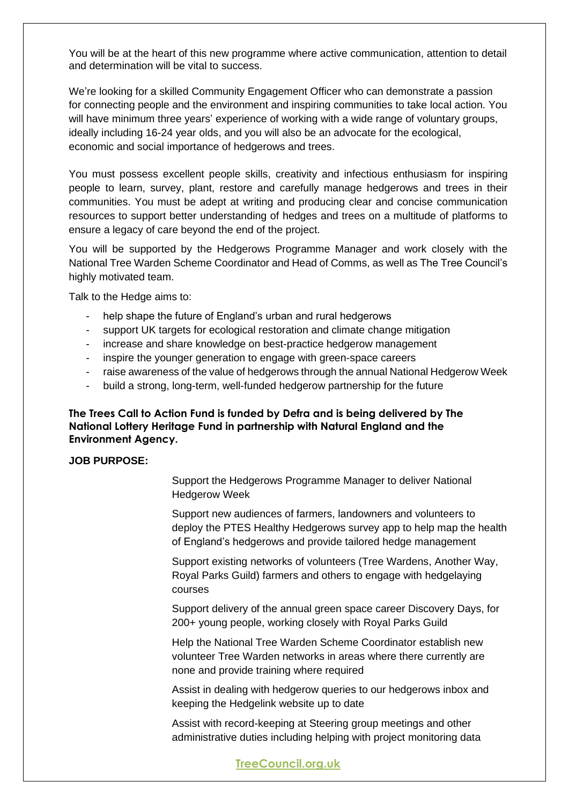You will be at the heart of this new programme where active communication, attention to detail and determination will be vital to success.

We're looking for a skilled Community Engagement Officer who can demonstrate a passion for connecting people and the environment and inspiring communities to take local action. You will have minimum three years' experience of working with a wide range of voluntary groups, ideally including 16-24 year olds, and you will also be an advocate for the ecological, economic and social importance of hedgerows and trees.

You must possess excellent people skills, creativity and infectious enthusiasm for inspiring people to learn, survey, plant, restore and carefully manage hedgerows and trees in their communities. You must be adept at writing and producing clear and concise communication resources to support better understanding of hedges and trees on a multitude of platforms to ensure a legacy of care beyond the end of the project.

You will be supported by the Hedgerows Programme Manager and work closely with the National Tree Warden Scheme Coordinator and Head of Comms, as well as The Tree Council's highly motivated team.

Talk to the Hedge aims to:

- help shape the future of England's urban and rural hedgerows
- support UK targets for ecological restoration and climate change mitigation
- increase and share knowledge on best-practice hedgerow management
- inspire the younger generation to engage with green-space careers
- raise awareness of the value of hedgerows through the annual National Hedgerow Week
- build a strong, long-term, well-funded hedgerow partnership for the future

### **The Trees Call to Action Fund is funded by Defra and is being delivered by The National Lottery Heritage Fund in partnership with Natural England and the Environment Agency.**

#### **JOB PURPOSE:**

Support the Hedgerows Programme Manager to deliver National Hedgerow Week

Support new audiences of farmers, landowners and volunteers to deploy the PTES Healthy Hedgerows survey app to help map the health of England's hedgerows and provide tailored hedge management

Support existing networks of volunteers (Tree Wardens, Another Way, Royal Parks Guild) farmers and others to engage with hedgelaying courses

Support delivery of the annual green space career Discovery Days, for 200+ young people, working closely with Royal Parks Guild

Help the National Tree Warden Scheme Coordinator establish new volunteer Tree Warden networks in areas where there currently are none and provide training where required

Assist in dealing with hedgerow queries to our hedgerows inbox and keeping the Hedgelink website up to date

Assist with record-keeping at Steering group meetings and other administrative duties including helping with project monitoring data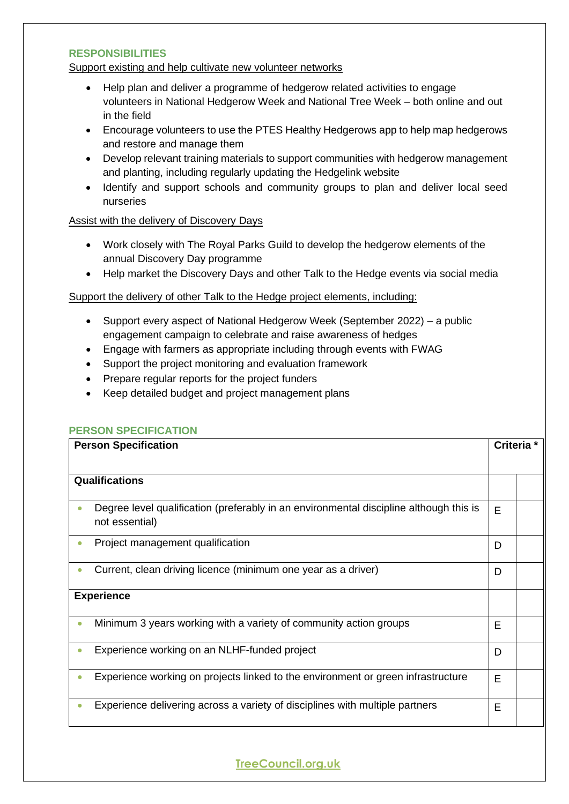### **RESPONSIBILITIES**

Support existing and help cultivate new volunteer networks

- Help plan and deliver a programme of hedgerow related activities to engage volunteers in National Hedgerow Week and National Tree Week – both online and out in the field
- Encourage volunteers to use the PTES Healthy Hedgerows app to help map hedgerows and restore and manage them
- Develop relevant training materials to support communities with hedgerow management and planting, including regularly updating the Hedgelink website
- Identify and support schools and community groups to plan and deliver local seed nurseries

#### Assist with the delivery of Discovery Days

- Work closely with The Royal Parks Guild to develop the hedgerow elements of the annual Discovery Day programme
- Help market the Discovery Days and other Talk to the Hedge events via social media

#### Support the delivery of other Talk to the Hedge project elements, including:

- Support every aspect of National Hedgerow Week (September 2022) a public engagement campaign to celebrate and raise awareness of hedges
- Engage with farmers as appropriate including through events with FWAG
- Support the project monitoring and evaluation framework
- Prepare regular reports for the project funders
- Keep detailed budget and project management plans

## **PERSON SPECIFICATION**

|                                                                                                          | Criteria * |
|----------------------------------------------------------------------------------------------------------|------------|
| <b>Person Specification</b>                                                                              |            |
|                                                                                                          |            |
| <b>Qualifications</b>                                                                                    |            |
| Degree level qualification (preferably in an environmental discipline although this is<br>not essential) | E          |
| Project management qualification                                                                         | D          |
| Current, clean driving licence (minimum one year as a driver)                                            | D          |
| <b>Experience</b>                                                                                        |            |
| Minimum 3 years working with a variety of community action groups                                        | E          |
| Experience working on an NLHF-funded project                                                             | D          |
| Experience working on projects linked to the environment or green infrastructure                         | E          |
| Experience delivering across a variety of disciplines with multiple partners                             | E          |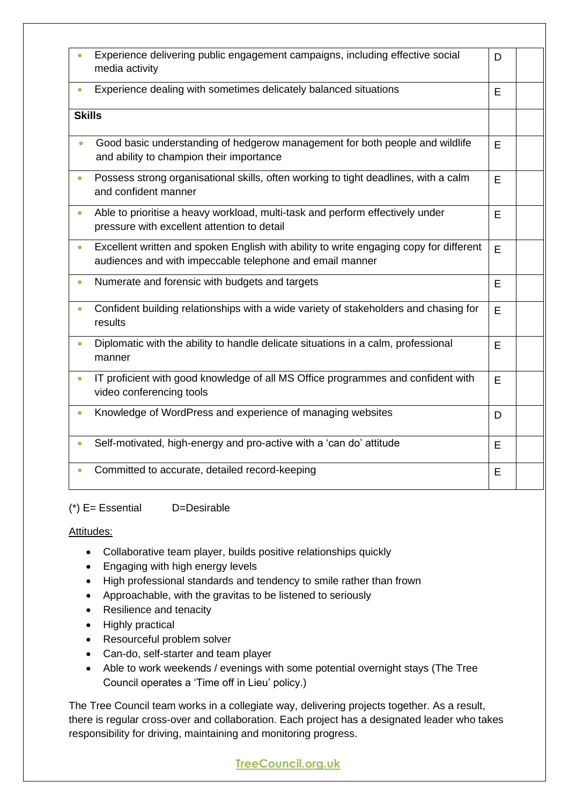|               | Experience delivering public engagement campaigns, including effective social<br>media activity                                                    | D |  |
|---------------|----------------------------------------------------------------------------------------------------------------------------------------------------|---|--|
| $\bullet$     | Experience dealing with sometimes delicately balanced situations                                                                                   | Е |  |
| <b>Skills</b> |                                                                                                                                                    |   |  |
| $\bullet$     | Good basic understanding of hedgerow management for both people and wildlife<br>and ability to champion their importance                           | E |  |
| $\bullet$     | Possess strong organisational skills, often working to tight deadlines, with a calm<br>and confident manner                                        | E |  |
| $\bullet$     | Able to prioritise a heavy workload, multi-task and perform effectively under<br>pressure with excellent attention to detail                       | E |  |
| $\bullet$     | Excellent written and spoken English with ability to write engaging copy for different<br>audiences and with impeccable telephone and email manner | E |  |
| $\bullet$     | Numerate and forensic with budgets and targets                                                                                                     | E |  |
| $\bullet$     | Confident building relationships with a wide variety of stakeholders and chasing for<br>results                                                    | E |  |
| $\bullet$     | Diplomatic with the ability to handle delicate situations in a calm, professional<br>manner                                                        | E |  |
| $\bullet$     | IT proficient with good knowledge of all MS Office programmes and confident with<br>video conferencing tools                                       | E |  |
| $\bullet$     | Knowledge of WordPress and experience of managing websites                                                                                         | D |  |
|               | Self-motivated, high-energy and pro-active with a 'can do' attitude                                                                                | E |  |
|               | Committed to accurate, detailed record-keeping                                                                                                     | E |  |

(\*) E= Essential D=Desirable

# Attitudes:

- Collaborative team player, builds positive relationships quickly
- Engaging with high energy levels
- High professional standards and tendency to smile rather than frown
- Approachable, with the gravitas to be listened to seriously
- Resilience and tenacity
- Highly practical
- Resourceful problem solver
- Can-do, self-starter and team player
- Able to work weekends / evenings with some potential overnight stays (The Tree Council operates a 'Time off in Lieu' policy.)

The Tree Council team works in a collegiate way, delivering projects together. As a result, there is regular cross-over and collaboration. Each project has a designated leader who takes responsibility for driving, maintaining and monitoring progress.